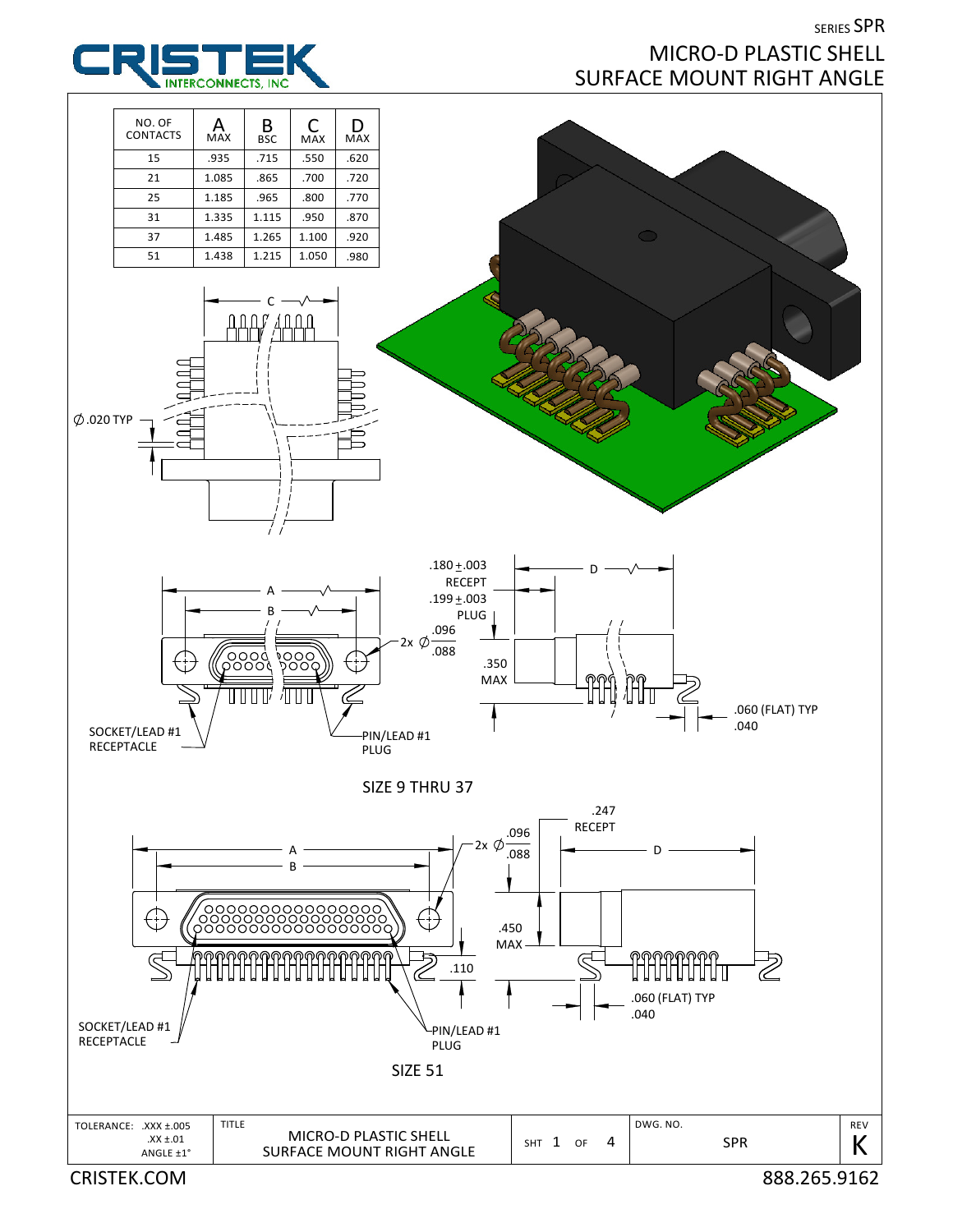## SERIES SPR MICRO-D PLASTIC SHELL SURFACE MOUNT RIGHT ANGLE



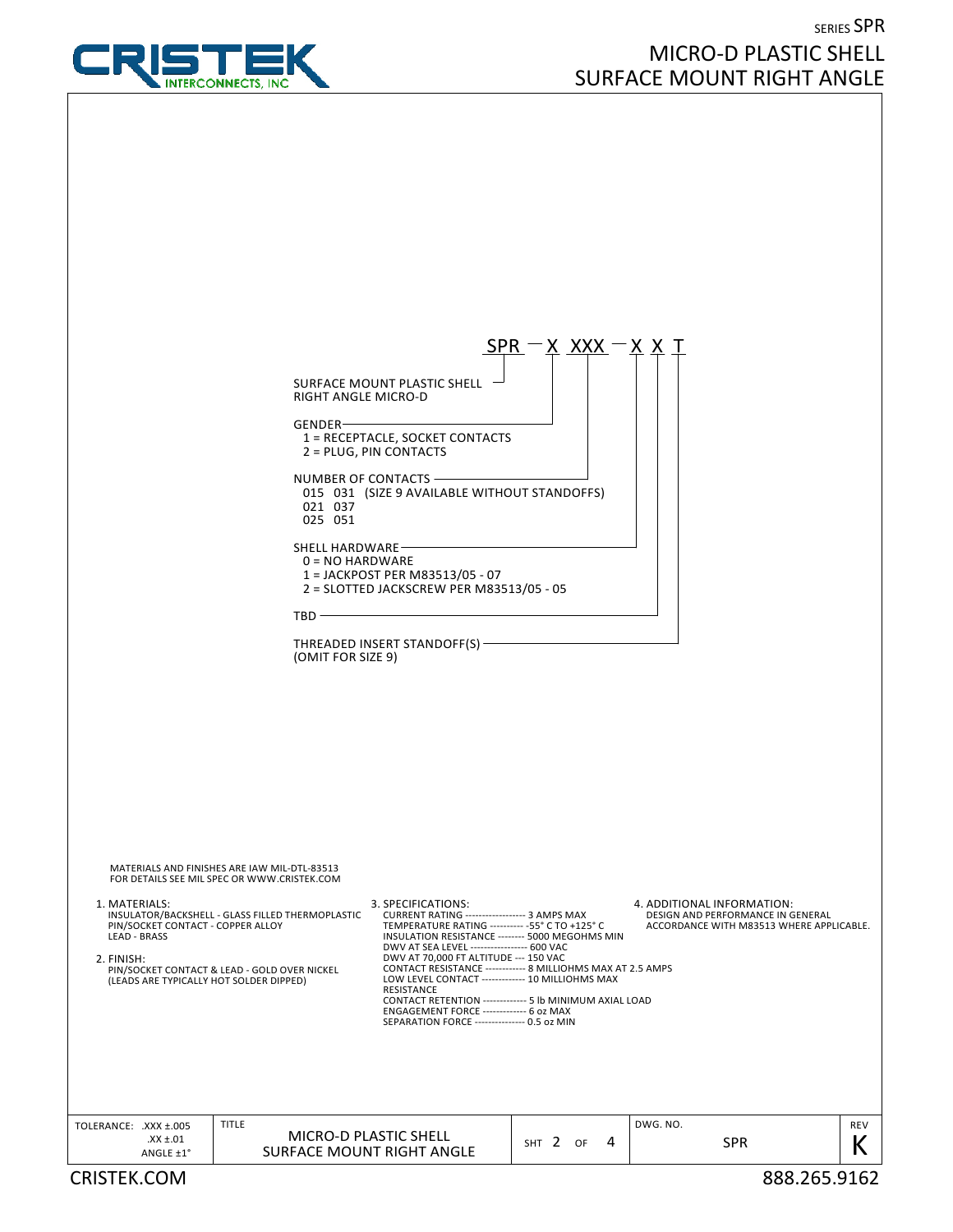

## SERIES SPR MICRO-D PLASTIC SHELL SURFACE MOUNT RIGHT ANGLE

|                                                                                                                                    |                                                                                                                                                 |                                                                                                                                                                                                                                                                                                                                                                                                                                                                                                        | $SPR - X$ XXX - X X T |                                                                                                             |              |
|------------------------------------------------------------------------------------------------------------------------------------|-------------------------------------------------------------------------------------------------------------------------------------------------|--------------------------------------------------------------------------------------------------------------------------------------------------------------------------------------------------------------------------------------------------------------------------------------------------------------------------------------------------------------------------------------------------------------------------------------------------------------------------------------------------------|-----------------------|-------------------------------------------------------------------------------------------------------------|--------------|
|                                                                                                                                    | RIGHT ANGLE MICRO-D<br>$GENDER-$                                                                                                                | SURFACE MOUNT PLASTIC SHELL -<br>1 = RECEPTACLE, SOCKET CONTACTS                                                                                                                                                                                                                                                                                                                                                                                                                                       |                       |                                                                                                             |              |
|                                                                                                                                    | NUMBER OF CONTACTS -<br>021 037<br>025 051                                                                                                      | 2 = PLUG, PIN CONTACTS<br>015 031 (SIZE 9 AVAILABLE WITHOUT STANDOFFS)                                                                                                                                                                                                                                                                                                                                                                                                                                 |                       |                                                                                                             |              |
|                                                                                                                                    | SHELL HARDWARE-<br>$0 = NO$ HARDWARE                                                                                                            | 1 = JACKPOST PER M83513/05 - 07<br>2 = SLOTTED JACKSCREW PER M83513/05 - 05                                                                                                                                                                                                                                                                                                                                                                                                                            |                       |                                                                                                             |              |
| $TBD -$                                                                                                                            |                                                                                                                                                 |                                                                                                                                                                                                                                                                                                                                                                                                                                                                                                        |                       |                                                                                                             |              |
| THREADED INSERT STANDOFF(S) -<br>(OMIT FOR SIZE 9)                                                                                 |                                                                                                                                                 |                                                                                                                                                                                                                                                                                                                                                                                                                                                                                                        |                       |                                                                                                             |              |
|                                                                                                                                    | MATERIALS AND FINISHES ARE IAW MIL-DTL-83513                                                                                                    |                                                                                                                                                                                                                                                                                                                                                                                                                                                                                                        |                       |                                                                                                             |              |
| 1. MATERIALS:<br>PIN/SOCKET CONTACT - COPPER ALLOY<br><b>LEAD - BRASS</b><br>2. FINISH:<br>(LEADS ARE TYPICALLY HOT SOLDER DIPPED) | FOR DETAILS SEE MIL SPEC OR WWW.CRISTEK.COM<br>INSULATOR/BACKSHELL - GLASS FILLED THERMOPLASTIC<br>PIN/SOCKET CONTACT & LEAD - GOLD OVER NICKEL | 3. SPECIFICATIONS:<br>CURRENT RATING ------------------ 3 AMPS MAX<br>TEMPERATURE RATING ---------- - 55° C TO +125° C<br>INSULATION RESISTANCE -------- 5000 MEGOHMS MIN<br>DWV AT SEA LEVEL ---------------- 600 VAC<br>DWV AT 70,000 FT ALTITUDE --- 150 VAC<br>CONTACT RESISTANCE ------------ 8 MILLIOHMS MAX AT 2.5 AMPS<br>LOW LEVEL CONTACT ------------- 10 MILLIOHMS MAX<br>RESISTANCE<br>CONTACT RETENTION ------------- 5 lb MINIMUM AXIAL LOAD<br>ENGAGEMENT FORCE ------------- 6 oz MAX |                       | 4. ADDITIONAL INFORMATION:<br>DESIGN AND PERFORMANCE IN GENERAL<br>ACCORDANCE WITH M83513 WHERE APPLICABLE. |              |
|                                                                                                                                    |                                                                                                                                                 | SEPARATION FORCE --------------- 0.5 oz MIN                                                                                                                                                                                                                                                                                                                                                                                                                                                            |                       |                                                                                                             |              |
| TOLERANCE: .XXX ±.005<br>$XX \pm .01$                                                                                              | TITLE<br><b>SURFACE MOUNT RIGHT ANGLE</b>                                                                                                       | MICRO-D PLASTIC SHELL                                                                                                                                                                                                                                                                                                                                                                                                                                                                                  | SHT 2 OF<br>4         | DWG. NO.<br><b>SPR</b>                                                                                      | REV<br>К     |
| ANGLE ±1°<br><b>CRISTEK.COM</b>                                                                                                    |                                                                                                                                                 |                                                                                                                                                                                                                                                                                                                                                                                                                                                                                                        |                       |                                                                                                             | 888.265.9162 |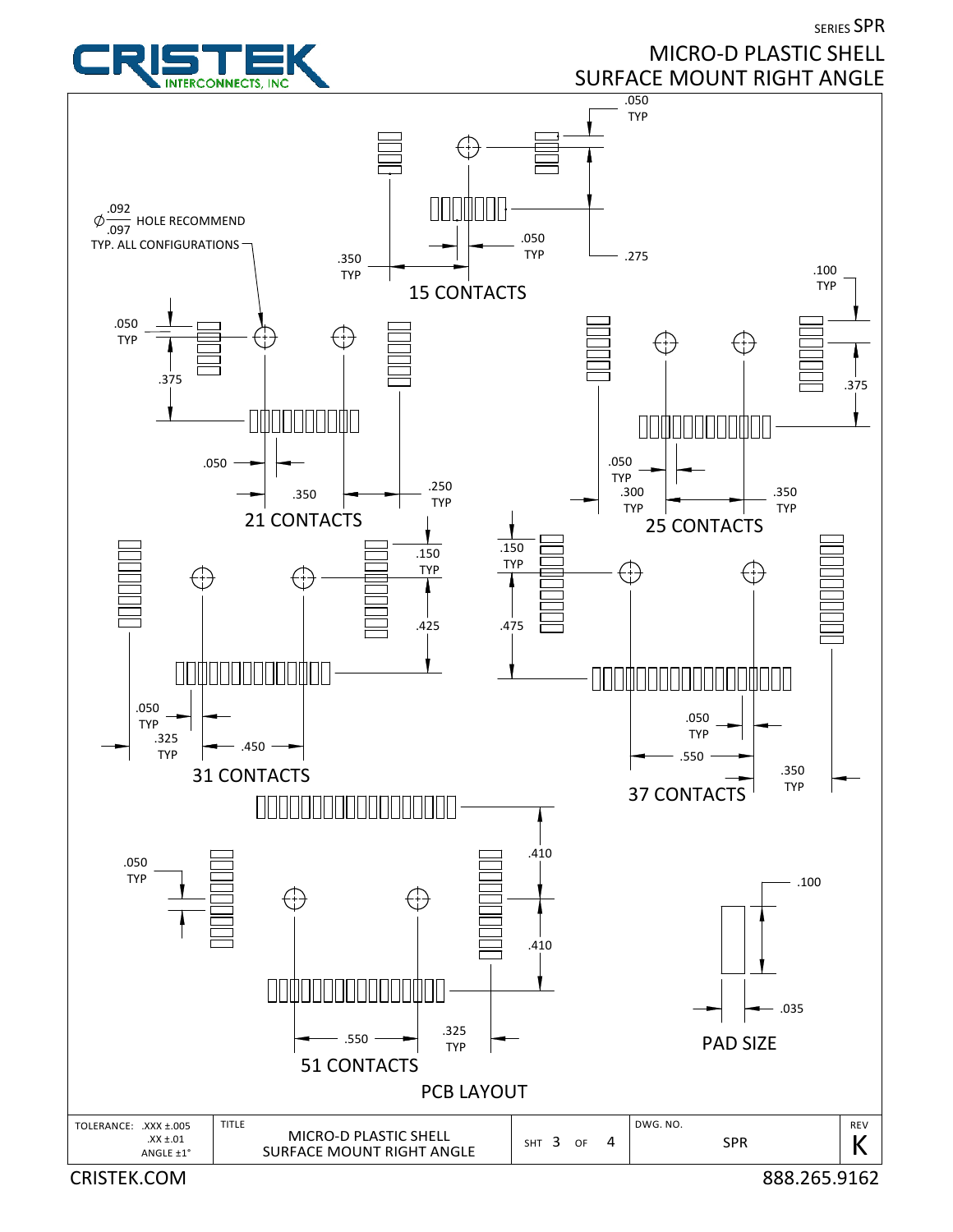SERIES SPR



## MICRO-D PLASTIC SHELL SURFACE MOUNT RIGHT ANGLE